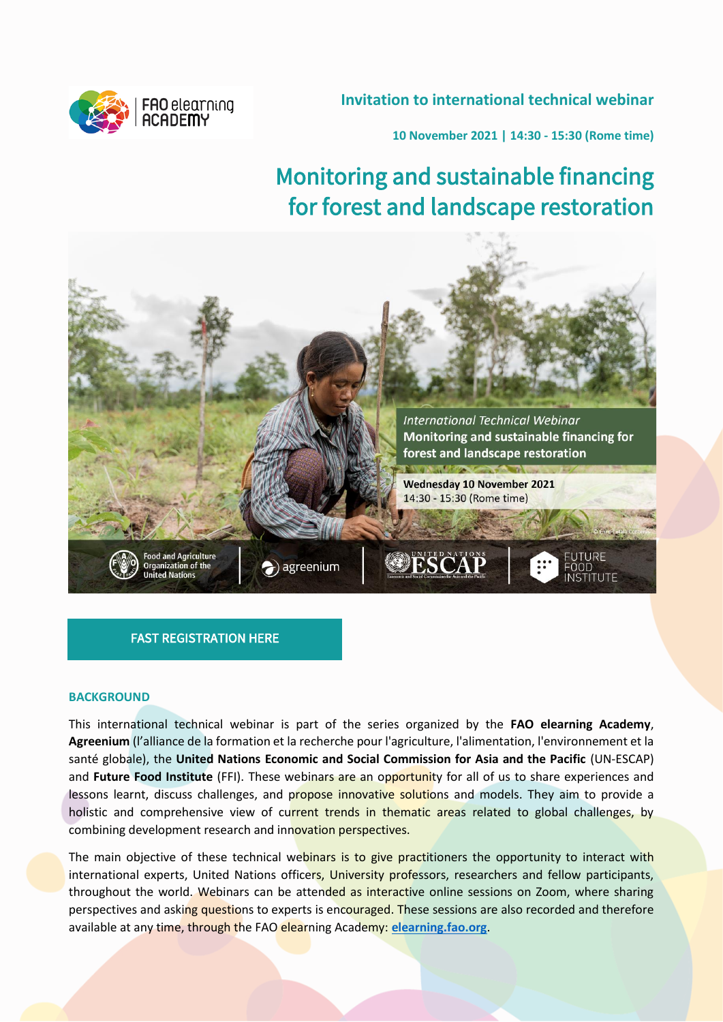## **Invitation to international technical webinar**



**10 November 2021 | 14:30 - 15:30 (Rome time)**

# Monitoring and sustainable financing for forest and landscape restoration



## [FAST REGISTRATION HERE](https://fao.zoom.us/webinar/register/WN_8DMzI7ZpQLm0WdaTYOcWUw)

## **BACKGROUND**

This international technical webinar is part of the series organized by the **FAO elearning Academy**, **Agreenium** (l'alliance de la formation et la recherche pour l'agriculture, l'alimentation, l'environnement et la santé globale), the **United Nations Economic and Social Commission for Asia and the Pacific** (UN-ESCAP) and **Future Food Institute** (FFI). These webinars are an opportunity for all of us to share experiences and lessons learnt, discuss challenges, and propose innovative solutions and models. They aim to provide a holistic and comprehensive view of current trends in thematic areas related to global challenges, by combining development research and innovation perspectives.

The main objective of these technical webinars is to give practitioners the opportunity to interact with international experts, United Nations officers, University professors, researchers and fellow participants, throughout the world. Webinars can be attended as interactive online sessions on Zoom, where sharing perspectives and asking questions to experts is encouraged. These sessions are also recorded and therefore available at any time, through the FAO elearning Academy: **[elearning.fao.org](https://elearning.fao.org/)**.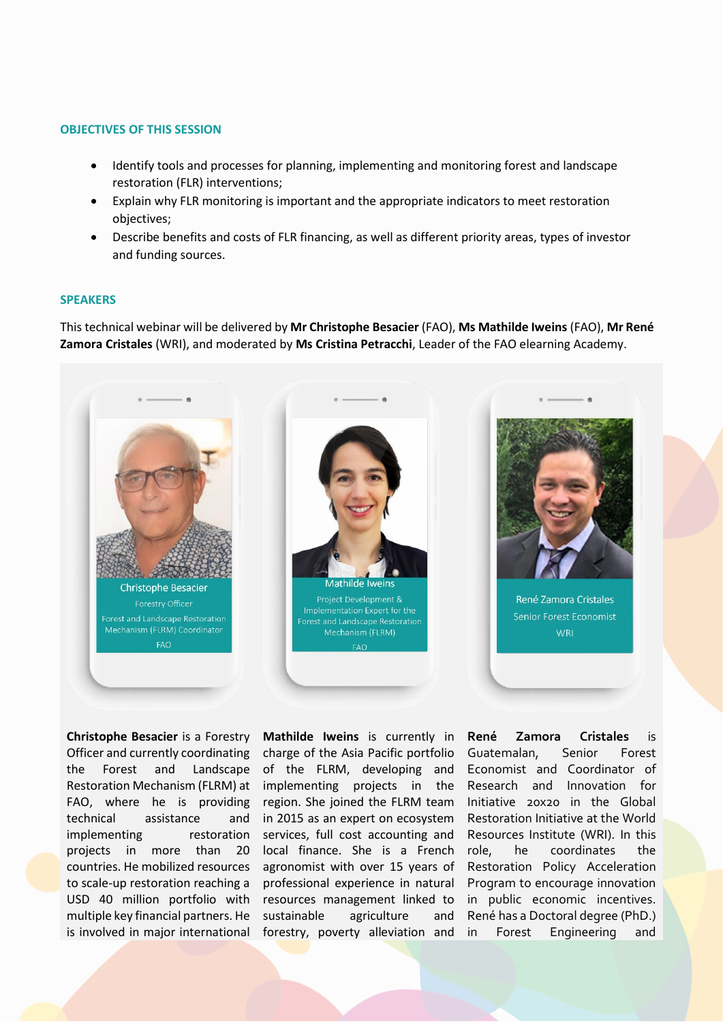#### **OBJECTIVES OF THIS SESSION**

- Identify tools and processes for planning, implementing and monitoring forest and landscape restoration (FLR) interventions;
- Explain why FLR monitoring is important and the appropriate indicators to meet restoration objectives;
- Describe benefits and costs of FLR financing, as well as different priority areas, types of investor and funding sources.

#### **SPEAKERS**

This technical webinar will be delivered by **Mr Christophe Besacier** (FAO), **Ms Mathilde Iweins** (FAO), **Mr René Zamora Cristales** (WRI), and moderated by **Ms Cristina Petracchi**, Leader of the FAO elearning Academy.



**Christophe Besacier** is a Forestry Officer and currently coordinating the Forest and Landscape technical assistance implementing countries. He mobilized resources multiple key financial partners. He is involved in major international

Restoration Mechanism (FLRM) at implementing projects in the FAO, where he is providing region. She joined the FLRM team projects in more than 20 local finance. She is a French to scale-up restoration reaching a professional experience in natural USD 40 million portfolio with resources management linked to **Mathilde Iweins** is currently in charge of the Asia Pacific portfolio of the FLRM, developing and and in 2015 as an expert on ecosystem restoration services, full cost accounting and agronomist with over 15 years of sustainable agriculture and forestry, poverty alleviation and

**René Zamora Cristales** is Guatemalan, Senior Forest Economist and Coordinator of Research and Innovation for Initiative 20x20 in the Global Restoration Initiative at the World Resources Institute (WRI). In this role, he coordinates the Restoration Policy Acceleration Program to encourage innovation in public economic incentives. René has a Doctoral degree (PhD.) Forest Engineering and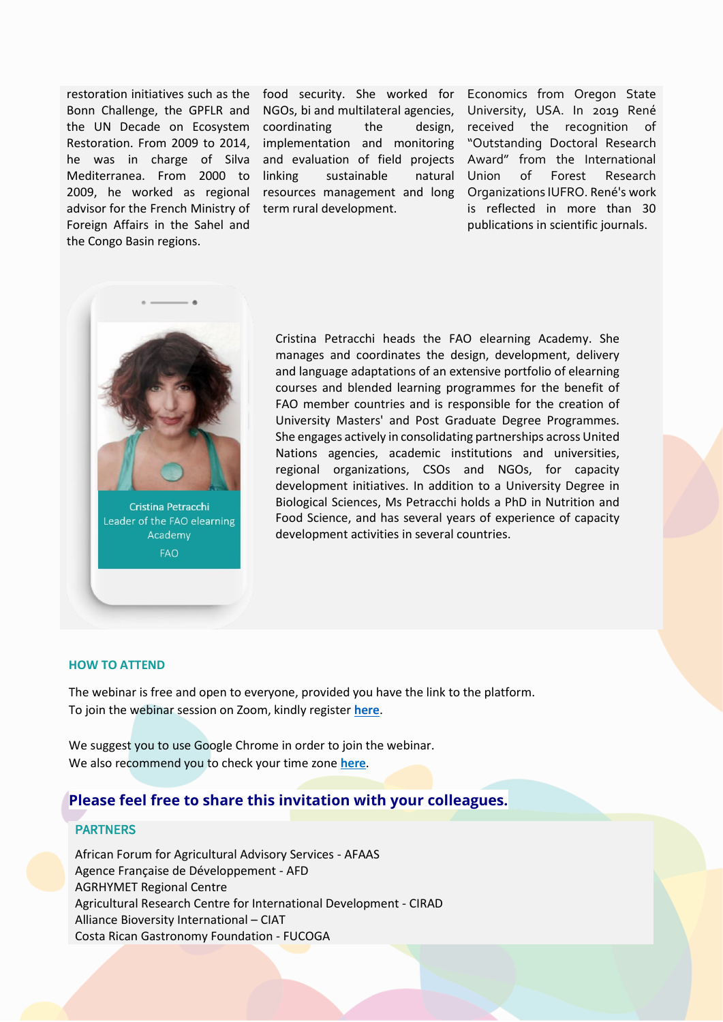Mediterranea. From 2000 to advisor for the French Ministry of term rural development. Foreign Affairs in the Sahel and the Congo Basin regions.

restoration initiatives such as the food security. She worked for Bonn Challenge, the GPFLR and NGOs, bi and multilateral agencies, University, USA. In 2019 René the UN Decade on Ecosystem coordinating the design, Restoration. From 2009 to 2014, implementation and monitoring he was in charge of Silva and evaluation of field projects Award" from the International 2009, he worked as regional resources management and long Organizations IUFRO. René's work sustainable natural Union

Economics from Oregon State design, received the recognition of "Outstanding Doctoral Research of Forest Research is reflected in more than 30 publications in scientific journals.



Cristina Petracchi Leader of the FAO elearning Academy **FAO** 

Cristina Petracchi heads the FAO elearning Academy. She manages and coordinates the design, development, delivery and language adaptations of an extensive portfolio of elearning courses and blended learning programmes for the benefit of FAO member countries and is responsible for the creation of University Masters' and Post Graduate Degree Programmes. She engages actively in consolidating partnerships across United Nations agencies, academic institutions and universities, regional organizations, CSOs and NGOs, for capacity development initiatives. In addition to a University Degree in Biological Sciences, Ms Petracchi holds a PhD in Nutrition and Food Science, and has several years of experience of capacity development activities in several countries.

#### **HOW TO ATTEND**

The webinar is free and open to everyone, provided you have the link to the platform. To join the webinar session on Zoom, kindly register **[here](https://fao.zoom.us/webinar/register/WN_8DMzI7ZpQLm0WdaTYOcWUw)**.

We suggest you to use Google Chrome in order to join the webinar. We also recommend you to check your time zone **[here](https://www.thetimezoneconverter.com/)**.

## **Please feel free to share this invitation with your colleagues.**

### **PARTNERS**

African Forum for Agricultural Advisory Services - AFAAS Agence Française de Développement - AFD AGRHYMET Regional Centre Agricultural Research Centre for International Development - CIRAD Alliance Bioversity International – CIAT Costa Rican Gastronomy Foundation - FUCOGA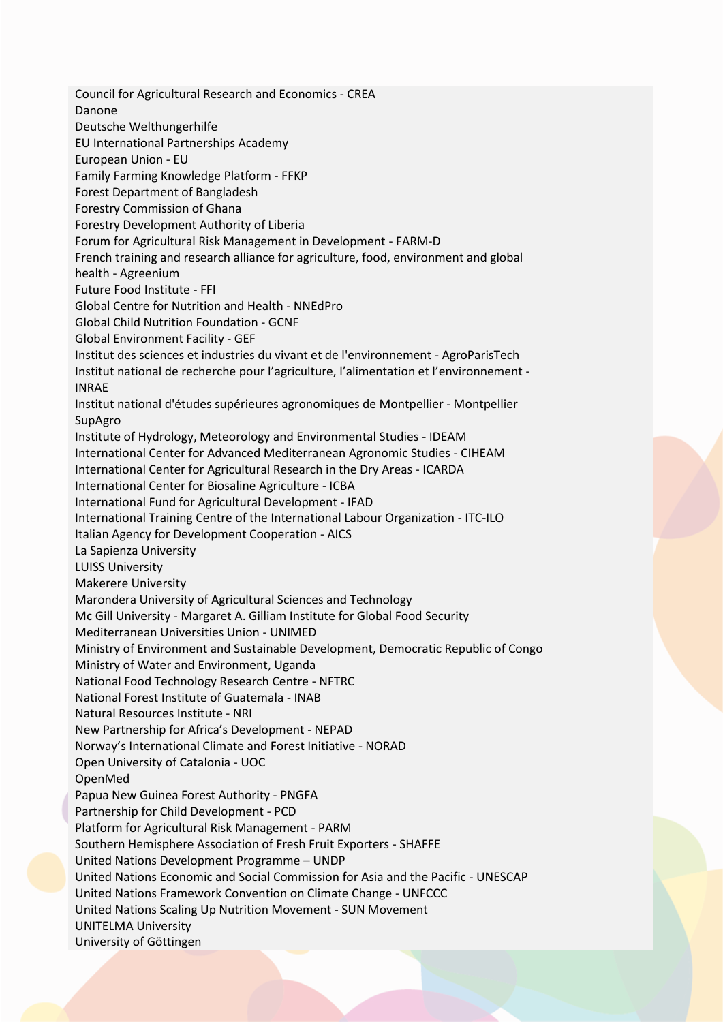Council for Agricultural Research and Economics - CREA Danone Deutsche Welthungerhilfe EU International Partnerships Academy European Union - EU Family Farming Knowledge Platform - FFKP Forest Department of Bangladesh Forestry Commission of Ghana Forestry Development Authority of Liberia Forum for Agricultural Risk Management in Development - FARM-D French training and research alliance for agriculture, food, environment and global health - Agreenium Future Food Institute - FFI Global Centre for Nutrition and Health - NNEdPro Global Child Nutrition Foundation - GCNF Global Environment Facility - GEF Institut des sciences et industries du vivant et de l'environnement - AgroParisTech Institut national de recherche pour l'agriculture, l'alimentation et l'environnement - INRAE Institut national d'études supérieures agronomiques de Montpellier - Montpellier SupAgro Institute of Hydrology, Meteorology and Environmental Studies - IDEAM International Center for Advanced Mediterranean Agronomic Studies - CIHEAM International Center for Agricultural Research in the Dry Areas - ICARDA International Center for Biosaline Agriculture - ICBA International Fund for Agricultural Development - IFAD International Training Centre of the International Labour Organization - ITC-ILO Italian Agency for Development Cooperation - AICS La Sapienza University LUISS University Makerere University Marondera University of Agricultural Sciences and Technology Mc Gill University - Margaret A. Gilliam Institute for Global Food Security Mediterranean Universities Union - UNIMED Ministry of Environment and Sustainable Development, Democratic Republic of Congo Ministry of Water and Environment, Uganda National Food Technology Research Centre - NFTRC National Forest Institute of Guatemala - INAB Natural Resources Institute - NRI New Partnership for Africa's Development - NEPAD Norway's International Climate and Forest Initiative - NORAD Open University of Catalonia - UOC OpenMed Papua New Guinea Forest Authority - PNGFA Partnership for Child Development - PCD Platform for Agricultural Risk Management - PARM Southern Hemisphere Association of Fresh Fruit Exporters - SHAFFE United Nations Development Programme – UNDP United Nations Economic and Social Commission for Asia and the Pacific - UNESCAP United Nations Framework Convention on Climate Change - UNFCCC United Nations Scaling Up Nutrition Movement - SUN Movement UNITELMA University University of Göttingen